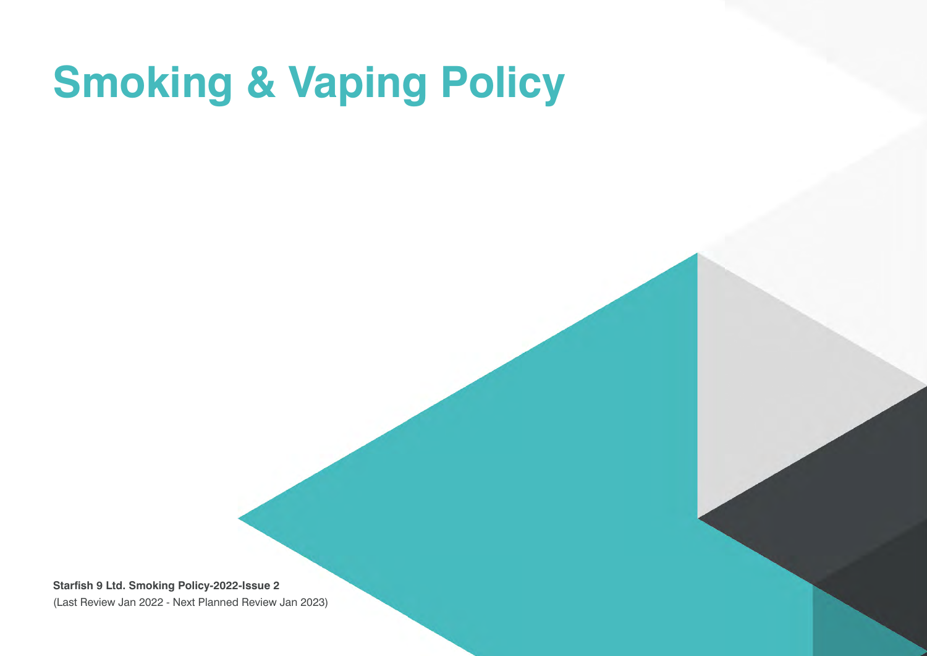## **Smoking & Vaping Policy**

**Starfish 9 Ltd. Smoking Policy-2022-Issue 2** (Last Review Jan 2022 - Next Planned Review Jan 2023)